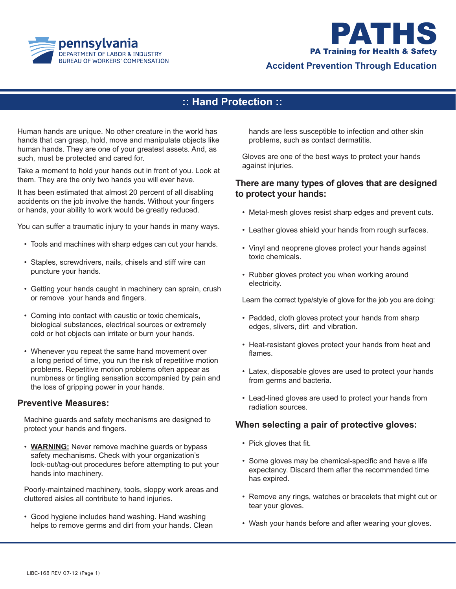



## **Accident Prevention Through Education**

# **:: Hand Protection ::**

Human hands are unique. No other creature in the world has hands that can grasp, hold, move and manipulate objects like human hands. They are one of your greatest assets. And, as such, must be protected and cared for.

Take a moment to hold your hands out in front of you. Look at them. They are the only two hands you will ever have.

It has been estimated that almost 20 percent of all disabling accidents on the job involve the hands. Without your fingers or hands, your ability to work would be greatly reduced.

You can suffer a traumatic injury to your hands in many ways.

- Tools and machines with sharp edges can cut your hands.
- Staples, screwdrivers, nails, chisels and stiff wire can puncture your hands.
- Getting your hands caught in machinery can sprain, crush or remove your hands and fingers.
- Coming into contact with caustic or toxic chemicals, biological substances, electrical sources or extremely cold or hot objects can irritate or burn your hands.
- Whenever you repeat the same hand movement over a long period of time, you run the risk of repetitive motion problems. Repetitive motion problems often appear as numbness or tingling sensation accompanied by pain and the loss of gripping power in your hands.

### **Preventive Measures:**

 Machine guards and safety mechanisms are designed to protect your hands and fingers.

• **WARNING:** Never remove machine quards or bypass safety mechanisms. Check with your organization's lock-out/tag-out procedures before attempting to put your hands into machinery.

 Poorly-maintained machinery, tools, sloppy work areas and cluttered aisles all contribute to hand injuries.

• Good hygiene includes hand washing. Hand washing helps to remove germs and dirt from your hands. Clean  hands are less susceptible to infection and other skin problems, such as contact dermatitis.

Gloves are one of the best ways to protect your hands against injuries.

### **There are many types of gloves that are designed to protect your hands:**

- Metal-mesh gloves resist sharp edges and prevent cuts.
- Leather gloves shield your hands from rough surfaces.
- • Vinyl and neoprene gloves protect your hands against toxic chemicals.
- Rubber gloves protect you when working around electricity.

Learn the correct type/style of glove for the job you are doing:

- Padded, cloth gloves protect your hands from sharp edges, slivers, dirt and vibration.
- Heat-resistant gloves protect your hands from heat and flames.
- • Latex, disposable gloves are used to protect your hands from germs and bacteria.
- Lead-lined gloves are used to protect your hands from radiation sources.

### **When selecting a pair of protective gloves:**

- Pick gloves that fit.
- Some gloves may be chemical-specific and have a life expectancy. Discard them after the recommended time has expired.
- Remove any rings, watches or bracelets that might cut or tear your gloves.
- Wash your hands before and after wearing your gloves.